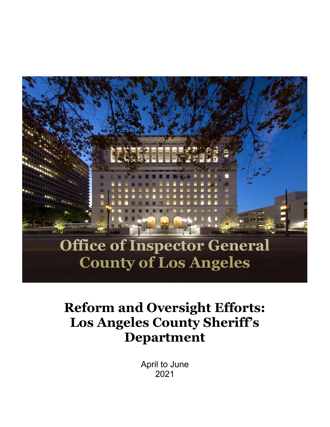

# **Reform and Oversight Efforts: Los Angeles County Sheriff's Department**

April to June 2021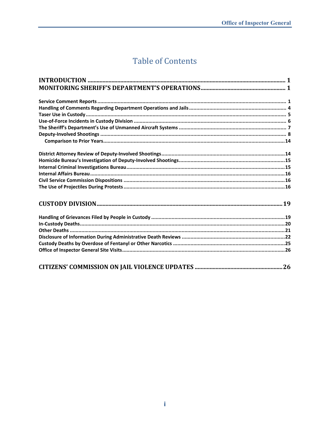## **Table of Contents**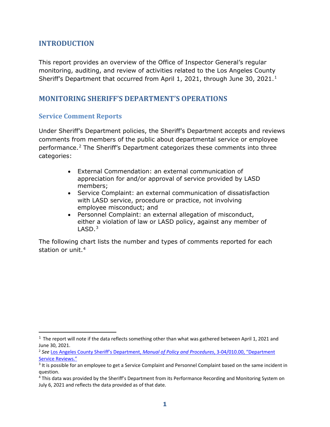## <span id="page-2-0"></span>**INTRODUCTION**

This report provides an overview of the Office of Inspector General's regular monitoring, auditing, and review of activities related to the Los Angeles County Sheriff's Department that occurred from April [1](#page-2-3), 2021, through June 30, 2021.<sup>1</sup>

## <span id="page-2-1"></span>**MONITORING SHERIFF'S DEPARTMENT'S OPERATIONS**

#### <span id="page-2-2"></span>**Service Comment Reports**

Under Sheriff's Department policies, the Sheriff's Department accepts and reviews comments from members of the public about departmental service or employee performance.[2](#page-2-4) The Sheriff's Department categorizes these comments into three categories:

- External Commendation: an external communication of appreciation for and/or approval of service provided by LASD members;
- Service Complaint: an external communication of dissatisfaction with LASD service, procedure or practice, not involving employee misconduct; and
- Personnel Complaint: an external allegation of misconduct, either a violation of law or LASD policy, against any member of  $LASD.<sup>3</sup>$  $LASD.<sup>3</sup>$  $LASD.<sup>3</sup>$

The following chart lists the number and types of comments reported for each station or unit.<sup>[4](#page-2-6)</sup>

<span id="page-2-3"></span> $1$  The report will note if the data reflects something other than what was gathered between April 1, 2021 and June 30, 2021.

<span id="page-2-4"></span><sup>2</sup> *See* [Los Angeles County Sheriff's Department,](http://pars.lasd.org/Viewer/Manuals/10008/Content/10837) *Manual of Policy and Procedures*, 3-04/010.00, "Department [Service Reviews."](http://pars.lasd.org/Viewer/Manuals/10008/Content/10837)

<span id="page-2-5"></span><sup>&</sup>lt;sup>3</sup> It is possible for an employee to get a Service Complaint and Personnel Complaint based on the same incident in question.

<span id="page-2-6"></span><sup>4</sup> This data was provided by the Sheriff's Department from its Performance Recording and Monitoring System on July 6, 2021 and reflects the data provided as of that date.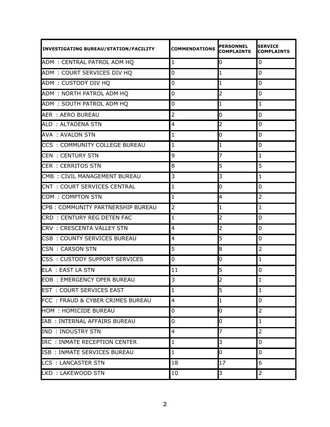| <b>INVESTIGATING BUREAU/STATION/FACILITY</b> | <b>COMMENDATIONS</b> | <b>PERSONNEL</b><br><b>COMPLAINTS</b> | <b>SERVICE</b><br><b>COMPLAINTS</b> |
|----------------------------------------------|----------------------|---------------------------------------|-------------------------------------|
| ADM: CENTRAL PATROL ADM HQ                   | $\mathbf{1}$         | O.                                    | 0                                   |
| ADM: COURT SERVICES DIV HO                   | 0                    |                                       | 0                                   |
| ADM: CUSTODY DIV HQ                          | 0                    |                                       | $\mathbf 0$                         |
| ADM: NORTH PATROL ADM HQ                     | 0                    | 2                                     | 0                                   |
| ADM: SOUTH PATROL ADM HQ                     | 0                    | 1                                     | $\mathbf{1}$                        |
| AER : AERO BUREAU                            | $\overline{2}$       | 0                                     | $\mathbf 0$                         |
| ALD: ALTADENA STN                            | 4                    | 2                                     | 0                                   |
| <b>AVA : AVALON STN</b>                      | $\mathbf{1}$         | 0                                     | 0                                   |
| CCS: COMMUNITY COLLEGE BUREAU                | $\mathbf{1}$         |                                       | 0                                   |
| <b>CEN : CENTURY STN</b>                     | 9                    |                                       | $\mathbf 1$                         |
| <b>CER : CERRITOS STN</b>                    | 8                    | 5                                     | 5                                   |
| CMB: CIVIL MANAGEMENT BUREAU                 | 3                    | 3                                     | $\mathbf{1}$                        |
| CNT: COURT SERVICES CENTRAL                  | $\mathbf{1}$         | 0                                     | $\mathbf 0$                         |
| COM: COMPTON STN                             | $\mathbf{1}$         | 4                                     | $\overline{2}$                      |
| CPB: COMMUNITY PARTNERSHIP BUREAU            | $\overline{2}$       |                                       | $\mathbf 1$                         |
| CRD: CENTURY REG DETEN FAC                   | $\mathbf{1}$         | 2                                     | 0                                   |
| CRV: CRESCENTA VALLEY STN                    | 4                    | 2                                     | 0                                   |
| CSB: COUNTY SERVICES BUREAU                  | 4                    | 5                                     | $\mathbf 0$                         |
| <b>CSN: CARSON STN</b>                       | 5                    | 8                                     | $\overline{2}$                      |
| CSS: CUSTODY SUPPORT SERVICES                | 0                    | 0                                     | $\mathbf 1$                         |
| ELA : EAST LA STN                            | 11                   | 5                                     | $\mathbf 0$                         |
| <b>EOB: EMERGENCY OPER BUREAU</b>            | 3                    |                                       | $\mathbf{1}$                        |
| <b>EST : COURT SERVICES EAST</b>             | $\mathbf{1}$         | 5                                     | $\mathbf{1}$                        |
| FCC: FRAUD & CYBER CRIMES BUREAU             | $\overline{4}$       |                                       | $\overline{0}$                      |
| <b>HOM : HOMICIDE BUREAU</b>                 | 0                    | 0                                     | $\overline{2}$                      |
| IAB: INTERNAL AFFAIRS BUREAU                 | 0                    | 0                                     | $\mathbf 1$                         |
| <b>IND : INDUSTRY STN</b>                    | $\overline{4}$       |                                       | $\overline{2}$                      |
| IRC : INMATE RECEPTION CENTER                | $\mathbf{1}$         | 3                                     | $\mathbf 0$                         |
| ISB: INMATE SERVICES BUREAU                  | $\mathbf{1}$         | 0                                     | $\overline{0}$                      |
| <b>LCS : LANCASTER STN</b>                   | 18                   | 17                                    | 6                                   |
| LKD: LAKEWOOD STN                            | 10                   | 3                                     | $\overline{2}$                      |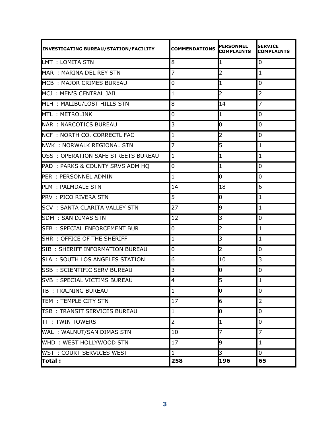| <b>INVESTIGATING BUREAU/STATION/FACILITY</b> | <b>COMMENDATIONS</b> | <b>PERSONNEL</b><br><b>COMPLAINTS</b> | <b>SERVICE</b><br><b>COMPLAINTS</b> |
|----------------------------------------------|----------------------|---------------------------------------|-------------------------------------|
| LMT : LOMITA STN                             | 8                    | 1                                     | 0                                   |
| MAR: MARINA DEL REY STN                      | 7                    | 2                                     | $\mathbf{1}$                        |
| MCB: MAJOR CRIMES BUREAU                     | 0                    |                                       | 0                                   |
| MCJ: MEN'S CENTRAL JAIL                      | $\mathbf{1}$         | 2                                     | $\overline{2}$                      |
| MLH: MALIBU/LOST HILLS STN                   | 8                    | 14                                    | $\overline{7}$                      |
| <b>MTL: METROLINK</b>                        | 0                    | 1                                     | 0                                   |
| <b>NAR : NARCOTICS BUREAU</b>                | 3                    | 0                                     | 0                                   |
| NCF: NORTH CO. CORRECTL FAC                  | $\mathbf{1}$         | 2                                     | 0                                   |
| <b>NWK: NORWALK REGIONAL STN</b>             | $\overline{7}$       | 5                                     | $\mathbf{1}$                        |
| OSS : OPERATION SAFE STREETS BUREAU          | $\mathbf{1}$         | 1                                     | $\mathbf{1}$                        |
| PAD: PARKS & COUNTY SRVS ADM HQ              | 0                    | 1                                     | $\mathbf 0$                         |
| PER: PERSONNEL ADMIN                         | $\mathbf{1}$         | 0                                     | $\overline{0}$                      |
| PLM : PALMDALE STN                           | 14                   | 18                                    | 6                                   |
| PRV : PICO RIVERA STN                        | 5                    | 0                                     | $\mathbf{1}$                        |
| <b>SCV : SANTA CLARITA VALLEY STN</b>        | 27                   | 9                                     | $\mathbf{1}$                        |
| <b>SDM : SAN DIMAS STN</b>                   | 12                   | 3                                     | $\mathbf 0$                         |
| <b>SEB: SPECIAL ENFORCEMENT BUR</b>          | 0                    | 2                                     | $\mathbf{1}$                        |
| SHR: OFFICE OF THE SHERIFF                   | $\mathbf{1}$         | 3                                     | $\mathbf{1}$                        |
| SIB: SHERIFF INFORMATION BUREAU              | 0                    | 2                                     | 0                                   |
| <b>SLA : SOUTH LOS ANGELES STATION</b>       | 6                    | 10                                    | 3                                   |
| <b>SSB: SCIENTIFIC SERV BUREAU</b>           | 3                    | 0                                     | $\mathbf 0$                         |
| SVB: SPECIAL VICTIMS BUREAU                  | $\overline{4}$       | Б                                     | $\mathbf{1}$                        |
| TB: TRAINING BUREAU                          | $\mathbf{1}$         | 0                                     | 0                                   |
| TEM: TEMPLE CITY STN                         | 17                   | 6                                     | $\overline{2}$                      |
| TSB: TRANSIT SERVICES BUREAU                 | $\mathbf{1}$         | 0                                     | 0                                   |
| <b>TT: TWIN TOWERS</b>                       | $\overline{2}$       |                                       | 0                                   |
| WAL: WALNUT/SAN DIMAS STN                    | 10                   |                                       | $\overline{7}$                      |
| WHD: WEST HOLLYWOOD STN                      | 17                   | 9                                     | $\mathbf{1}$                        |
| WST: COURT SERVICES WEST                     | $\mathbf{1}$         | 3                                     | $\overline{0}$                      |
| Total:                                       | 258                  | 196                                   | 65                                  |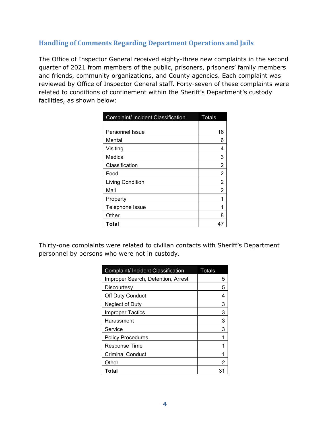## <span id="page-5-0"></span>**Handling of Comments Regarding Department Operations and Jails**

The Office of Inspector General received eighty-three new complaints in the second quarter of 2021 from members of the public, prisoners, prisoners' family members and friends, community organizations, and County agencies. Each complaint was reviewed by Office of Inspector General staff. Forty-seven of these complaints were related to conditions of confinement within the Sheriff's Department's custody facilities, as shown below:

| Complaint/ Incident Classification | <b>Totals</b>  |
|------------------------------------|----------------|
|                                    |                |
| Personnel Issue                    | 16             |
| Mental                             | 6              |
| Visiting                           | 4              |
| Medical                            | 3              |
| Classification                     | 2              |
| Food                               | 2              |
| <b>Living Condition</b>            | $\overline{2}$ |
| Mail                               | 2              |
| Property                           | 1              |
| Telephone Issue                    | 1              |
| Other                              | 8              |
| Total                              |                |

Thirty-one complaints were related to civilian contacts with Sheriff's Department personnel by persons who were not in custody.

| Complaint/ Incident Classification | Totals |
|------------------------------------|--------|
| Improper Search, Detention, Arrest | 5      |
| Discourtesy                        | 5      |
| <b>Off Duty Conduct</b>            | 4      |
| Neglect of Duty                    | 3      |
| <b>Improper Tactics</b>            | 3      |
| Harassment                         | 3      |
| Service                            | з      |
| <b>Policy Procedures</b>           |        |
| Response Time                      |        |
| <b>Criminal Conduct</b>            |        |
| Other                              | 2      |
| Total                              | 31     |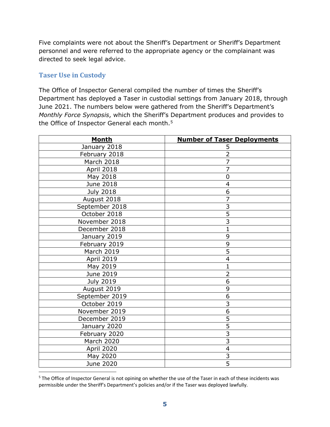Five complaints were not about the Sheriff's Department or Sheriff's Department personnel and were referred to the appropriate agency or the complainant was directed to seek legal advice.

## <span id="page-6-0"></span>**Taser Use in Custody**

The Office of Inspector General compiled the number of times the Sheriff's Department has deployed a Taser in custodial settings from January 2018, through June 2021. The numbers below were gathered from the Sheriff's Department's *Monthly Force Synopsis*, which the Sheriff's Department produces and provides to the Office of Inspector General each month.<sup>[5](#page-6-1)</sup>

| <b>Month</b>      | <b>Number of Taser Deployments</b> |
|-------------------|------------------------------------|
| January 2018      | 5                                  |
| February 2018     | $\overline{2}$                     |
| March 2018        | $\overline{7}$                     |
| <b>April 2018</b> | $\overline{7}$                     |
| May 2018          | $\overline{0}$                     |
| June 2018         | $\overline{4}$                     |
| <b>July 2018</b>  | 6                                  |
| August 2018       | $\overline{7}$                     |
| September 2018    | $\overline{3}$                     |
| October 2018      | $\overline{5}$                     |
| November 2018     | $\overline{3}$                     |
| December 2018     | $\overline{1}$                     |
| January 2019      | 9                                  |
| February 2019     | 9                                  |
| <b>March 2019</b> | 5                                  |
| April 2019        | $\overline{\mathbf{4}}$            |
| May 2019          | $\mathbf{1}$                       |
| June 2019         | $\overline{2}$                     |
| <b>July 2019</b>  | $\overline{6}$                     |
| August 2019       | 9                                  |
| September 2019    | 6                                  |
| October 2019      | $\overline{3}$                     |
| November 2019     | 6                                  |
| December 2019     | 5                                  |
| January 2020      | $\overline{5}$                     |
| February 2020     | $\overline{3}$                     |
| <b>March 2020</b> | $\overline{3}$                     |
| April 2020        | $\overline{4}$                     |
| May 2020          | $\frac{3}{5}$                      |
| June 2020         |                                    |

<span id="page-6-1"></span><sup>&</sup>lt;sup>5</sup> The Office of Inspector General is not opining on whether the use of the Taser in each of these incidents was permissible under the Sheriff's Department's policies and/or if the Taser was deployed lawfully.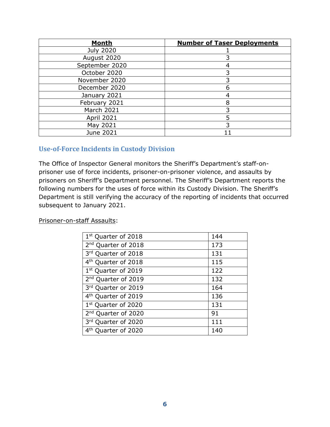| <b>Month</b>     | <b>Number of Taser Deployments</b> |
|------------------|------------------------------------|
| <b>July 2020</b> |                                    |
| August 2020      |                                    |
| September 2020   |                                    |
| October 2020     |                                    |
| November 2020    |                                    |
| December 2020    | 6                                  |
| January 2021     |                                    |
| February 2021    | 8                                  |
| March 2021       |                                    |
| April 2021       |                                    |
| May 2021         |                                    |
| June 2021        |                                    |

## <span id="page-7-0"></span>**Use-of-Force Incidents in Custody Division**

The Office of Inspector General monitors the Sheriff's Department's staff-onprisoner use of force incidents, prisoner-on-prisoner violence, and assaults by prisoners on Sheriff's Department personnel. The Sheriff's Department reports the following numbers for the uses of force within its Custody Division. The Sheriff's Department is still verifying the accuracy of the reporting of incidents that occurred subsequent to January 2021.

#### Prisoner-on-staff Assaults:

| 1 <sup>st</sup> Quarter of 2018 | 144 |
|---------------------------------|-----|
| 2 <sup>nd</sup> Quarter of 2018 | 173 |
| 3rd Quarter of 2018             | 131 |
| 4 <sup>th</sup> Quarter of 2018 | 115 |
| 1 <sup>st</sup> Quarter of 2019 | 122 |
| 2 <sup>nd</sup> Quarter of 2019 | 132 |
| 3rd Quarter or 2019             | 164 |
| 4 <sup>th</sup> Quarter of 2019 | 136 |
| 1 <sup>st</sup> Quarter of 2020 | 131 |
| 2 <sup>nd</sup> Quarter of 2020 | 91  |
| 3rd Quarter of 2020             | 111 |
| 4 <sup>th</sup> Quarter of 2020 | 140 |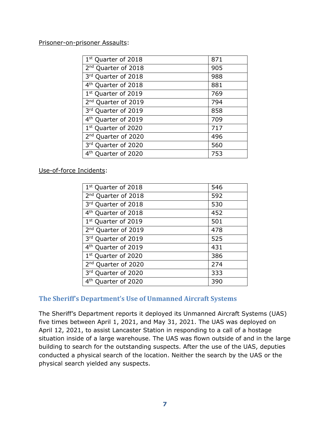#### Prisoner-on-prisoner Assaults:

| 1 <sup>st</sup> Quarter of 2018    | 871 |
|------------------------------------|-----|
| 2 <sup>nd</sup> Quarter of 2018    | 905 |
| 3rd Quarter of 2018                | 988 |
| 4 <sup>th</sup> Quarter of 2018    | 881 |
| 1st Quarter of 2019                | 769 |
| 2 <sup>nd</sup> Quarter of 2019    | 794 |
| 3rd Quarter of 2019                | 858 |
| 4 <sup>th</sup> Quarter of 2019    | 709 |
| 1st Quarter of 2020                | 717 |
| 2 <sup>nd</sup> Quarter of 2020    | 496 |
| 3rd Quarter of 2020                | 560 |
| 4 <sup>th</sup><br>Quarter of 2020 | 753 |
|                                    |     |

Use-of-force Incidents:

| 1st Quarter of 2018             | 546 |
|---------------------------------|-----|
| 2 <sup>nd</sup> Quarter of 2018 | 592 |
| 3rd Quarter of 2018             | 530 |
| 4 <sup>th</sup> Quarter of 2018 | 452 |
| 1st Quarter of 2019             | 501 |
| 2 <sup>nd</sup> Quarter of 2019 | 478 |
| 3rd Quarter of 2019             | 525 |
| 4 <sup>th</sup> Quarter of 2019 | 431 |
| 1 <sup>st</sup> Quarter of 2020 | 386 |
| 2 <sup>nd</sup> Quarter of 2020 | 274 |
| 3rd Quarter of 2020             | 333 |
| 4 <sup>th</sup> Quarter of 2020 | 390 |

## <span id="page-8-0"></span>**The Sheriff's Department's Use of Unmanned Aircraft Systems**

The Sheriff's Department reports it deployed its Unmanned Aircraft Systems (UAS) five times between April 1, 2021, and May 31, 2021. The UAS was deployed on April 12, 2021, to assist Lancaster Station in responding to a call of a hostage situation inside of a large warehouse. The UAS was flown outside of and in the large building to search for the outstanding suspects. After the use of the UAS, deputies conducted a physical search of the location. Neither the search by the UAS or the physical search yielded any suspects.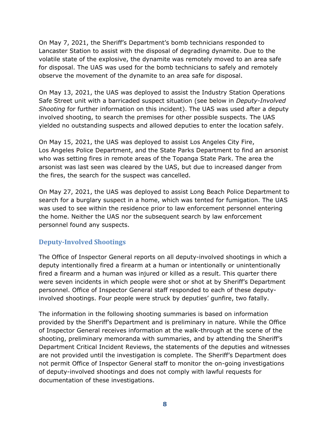On May 7, 2021, the Sheriff's Department's bomb technicians responded to Lancaster Station to assist with the disposal of degrading dynamite. Due to the volatile state of the explosive, the dynamite was remotely moved to an area safe for disposal. The UAS was used for the bomb technicians to safely and remotely observe the movement of the dynamite to an area safe for disposal.

On May 13, 2021, the UAS was deployed to assist the Industry Station Operations Safe Street unit with a barricaded suspect situation (see below in *Deputy-Involved Shooting* for further information on this incident). The UAS was used after a deputy involved shooting, to search the premises for other possible suspects. The UAS yielded no outstanding suspects and allowed deputies to enter the location safely.

On May 15, 2021, the UAS was deployed to assist Los Angeles City Fire, Los Angeles Police Department, and the State Parks Department to find an arsonist who was setting fires in remote areas of the Topanga State Park. The area the arsonist was last seen was cleared by the UAS, but due to increased danger from the fires, the search for the suspect was cancelled.

On May 27, 2021, the UAS was deployed to assist Long Beach Police Department to search for a burglary suspect in a home, which was tented for fumigation. The UAS was used to see within the residence prior to law enforcement personnel entering the home. Neither the UAS nor the subsequent search by law enforcement personnel found any suspects.

## <span id="page-9-0"></span>**Deputy-Involved Shootings**

The Office of Inspector General reports on all deputy-involved shootings in which a deputy intentionally fired a firearm at a human or intentionally or unintentionally fired a firearm and a human was injured or killed as a result. This quarter there were seven incidents in which people were shot or shot at by Sheriff's Department personnel. Office of Inspector General staff responded to each of these deputyinvolved shootings. Four people were struck by deputies' gunfire, two fatally.

The information in the following shooting summaries is based on information provided by the Sheriff's Department and is preliminary in nature. While the Office of Inspector General receives information at the walk-through at the scene of the shooting, preliminary memoranda with summaries, and by attending the Sheriff's Department Critical Incident Reviews, the statements of the deputies and witnesses are not provided until the investigation is complete. The Sheriff's Department does not permit Office of Inspector General staff to monitor the on-going investigations of deputy-involved shootings and does not comply with lawful requests for documentation of these investigations.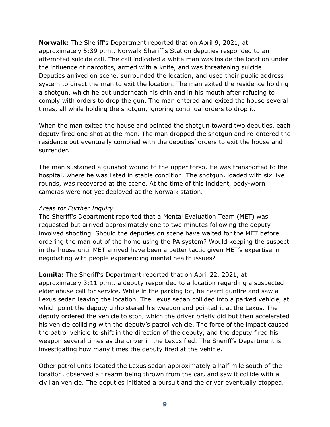**Norwalk:** The Sheriff's Department reported that on April 9, 2021, at approximately 5:39 p.m., Norwalk Sheriff's Station deputies responded to an attempted suicide call. The call indicated a white man was inside the location under the influence of narcotics, armed with a knife, and was threatening suicide. Deputies arrived on scene, surrounded the location, and used their public address system to direct the man to exit the location. The man exited the residence holding a shotgun, which he put underneath his chin and in his mouth after refusing to comply with orders to drop the gun. The man entered and exited the house several times, all while holding the shotgun, ignoring continual orders to drop it.

When the man exited the house and pointed the shotgun toward two deputies, each deputy fired one shot at the man. The man dropped the shotgun and re-entered the residence but eventually complied with the deputies' orders to exit the house and surrender.

The man sustained a gunshot wound to the upper torso. He was transported to the hospital, where he was listed in stable condition. The shotgun, loaded with six live rounds, was recovered at the scene. At the time of this incident, body-worn cameras were not yet deployed at the Norwalk station.

#### *Areas for Further Inquiry*

The Sheriff's Department reported that a Mental Evaluation Team (MET) was requested but arrived approximately one to two minutes following the deputyinvolved shooting. Should the deputies on scene have waited for the MET before ordering the man out of the home using the PA system? Would keeping the suspect in the house until MET arrived have been a better tactic given MET's expertise in negotiating with people experiencing mental health issues?

**Lomita:** The Sheriff's Department reported that on April 22, 2021, at approximately 3:11 p.m., a deputy responded to a location regarding a suspected elder abuse call for service. While in the parking lot, he heard gunfire and saw a Lexus sedan leaving the location. The Lexus sedan collided into a parked vehicle, at which point the deputy unholstered his weapon and pointed it at the Lexus. The deputy ordered the vehicle to stop, which the driver briefly did but then accelerated his vehicle colliding with the deputy's patrol vehicle. The force of the impact caused the patrol vehicle to shift in the direction of the deputy, and the deputy fired his weapon several times as the driver in the Lexus fled. The Sheriff's Department is investigating how many times the deputy fired at the vehicle.

Other patrol units located the Lexus sedan approximately a half mile south of the location, observed a firearm being thrown from the car, and saw it collide with a civilian vehicle. The deputies initiated a pursuit and the driver eventually stopped.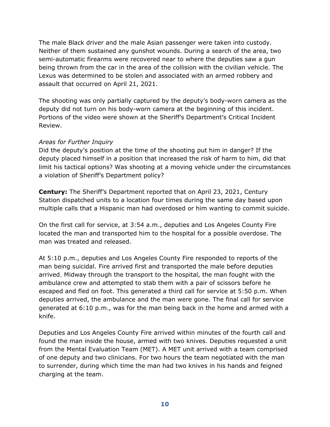The male Black driver and the male Asian passenger were taken into custody. Neither of them sustained any gunshot wounds. During a search of the area, two semi-automatic firearms were recovered near to where the deputies saw a gun being thrown from the car in the area of the collision with the civilian vehicle. The Lexus was determined to be stolen and associated with an armed robbery and assault that occurred on April 21, 2021.

The shooting was only partially captured by the deputy's body-worn camera as the deputy did not turn on his body-worn camera at the beginning of this incident. Portions of the video were shown at the Sheriff's Department's Critical Incident Review.

#### *Areas for Further Inquiry*

Did the deputy's position at the time of the shooting put him in danger? If the deputy placed himself in a position that increased the risk of harm to him, did that limit his tactical options? Was shooting at a moving vehicle under the circumstances a violation of Sheriff's Department policy?

**Century:** The Sheriff's Department reported that on April 23, 2021, Century Station dispatched units to a location four times during the same day based upon multiple calls that a Hispanic man had overdosed or him wanting to commit suicide.

On the first call for service, at 3:54 a.m., deputies and Los Angeles County Fire located the man and transported him to the hospital for a possible overdose. The man was treated and released.

At 5:10 p.m., deputies and Los Angeles County Fire responded to reports of the man being suicidal. Fire arrived first and transported the male before deputies arrived. Midway through the transport to the hospital, the man fought with the ambulance crew and attempted to stab them with a pair of scissors before he escaped and fled on foot. This generated a third call for service at 5:50 p.m. When deputies arrived, the ambulance and the man were gone. The final call for service generated at 6:10 p.m., was for the man being back in the home and armed with a knife.

Deputies and Los Angeles County Fire arrived within minutes of the fourth call and found the man inside the house, armed with two knives. Deputies requested a unit from the Mental Evaluation Team (MET). A MET unit arrived with a team comprised of one deputy and two clinicians. For two hours the team negotiated with the man to surrender, during which time the man had two knives in his hands and feigned charging at the team.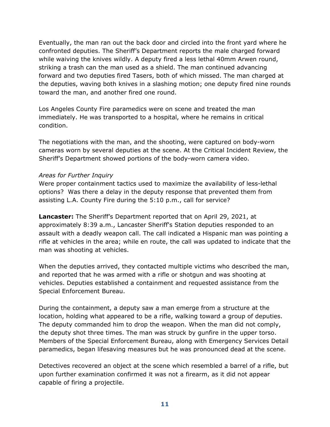Eventually, the man ran out the back door and circled into the front yard where he confronted deputies. The Sheriff's Department reports the male charged forward while waiving the knives wildly. A deputy fired a less lethal 40mm Arwen round, striking a trash can the man used as a shield. The man continued advancing forward and two deputies fired Tasers, both of which missed. The man charged at the deputies, waving both knives in a slashing motion; one deputy fired nine rounds toward the man, and another fired one round.

Los Angeles County Fire paramedics were on scene and treated the man immediately. He was transported to a hospital, where he remains in critical condition.

The negotiations with the man, and the shooting, were captured on body-worn cameras worn by several deputies at the scene. At the Critical Incident Review, the Sheriff's Department showed portions of the body-worn camera video.

#### *Areas for Further Inquiry*

Were proper containment tactics used to maximize the availability of less-lethal options? Was there a delay in the deputy response that prevented them from assisting L.A. County Fire during the 5:10 p.m., call for service?

**Lancaster:** The Sheriff's Department reported that on April 29, 2021, at approximately 8:39 a.m., Lancaster Sheriff's Station deputies responded to an assault with a deadly weapon call. The call indicated a Hispanic man was pointing a rifle at vehicles in the area; while en route, the call was updated to indicate that the man was shooting at vehicles.

When the deputies arrived, they contacted multiple victims who described the man, and reported that he was armed with a rifle or shotgun and was shooting at vehicles. Deputies established a containment and requested assistance from the Special Enforcement Bureau.

During the containment, a deputy saw a man emerge from a structure at the location, holding what appeared to be a rifle, walking toward a group of deputies. The deputy commanded him to drop the weapon. When the man did not comply, the deputy shot three times. The man was struck by gunfire in the upper torso. Members of the Special Enforcement Bureau, along with Emergency Services Detail paramedics, began lifesaving measures but he was pronounced dead at the scene.

Detectives recovered an object at the scene which resembled a barrel of a rifle, but upon further examination confirmed it was not a firearm, as it did not appear capable of firing a projectile.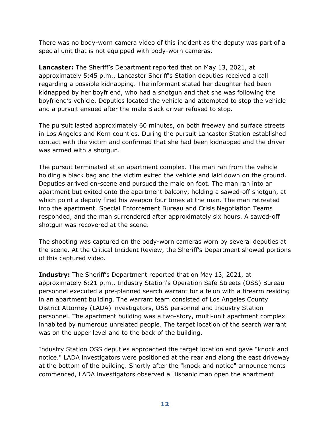There was no body-worn camera video of this incident as the deputy was part of a special unit that is not equipped with body-worn cameras.

**Lancaster:** The Sheriff's Department reported that on May 13, 2021, at approximately 5:45 p.m., Lancaster Sheriff's Station deputies received a call regarding a possible kidnapping. The informant stated her daughter had been kidnapped by her boyfriend, who had a shotgun and that she was following the boyfriend's vehicle. Deputies located the vehicle and attempted to stop the vehicle and a pursuit ensued after the male Black driver refused to stop.

The pursuit lasted approximately 60 minutes, on both freeway and surface streets in Los Angeles and Kern counties. During the pursuit Lancaster Station established contact with the victim and confirmed that she had been kidnapped and the driver was armed with a shotgun.

The pursuit terminated at an apartment complex. The man ran from the vehicle holding a black bag and the victim exited the vehicle and laid down on the ground. Deputies arrived on-scene and pursued the male on foot. The man ran into an apartment but exited onto the apartment balcony, holding a sawed-off shotgun, at which point a deputy fired his weapon four times at the man. The man retreated into the apartment. Special Enforcement Bureau and Crisis Negotiation Teams responded, and the man surrendered after approximately six hours. A sawed-off shotgun was recovered at the scene.

The shooting was captured on the body-worn cameras worn by several deputies at the scene. At the Critical Incident Review, the Sheriff's Department showed portions of this captured video.

**Industry:** The Sheriff's Department reported that on May 13, 2021, at approximately 6:21 p.m., Industry Station's Operation Safe Streets (OSS) Bureau personnel executed a pre-planned search warrant for a felon with a firearm residing in an apartment building. The warrant team consisted of Los Angeles County District Attorney (LADA) investigators, OSS personnel and Industry Station personnel. The apartment building was a two-story, multi-unit apartment complex inhabited by numerous unrelated people. The target location of the search warrant was on the upper level and to the back of the building.

Industry Station OSS deputies approached the target location and gave "knock and notice." LADA investigators were positioned at the rear and along the east driveway at the bottom of the building. Shortly after the "knock and notice" announcements commenced, LADA investigators observed a Hispanic man open the apartment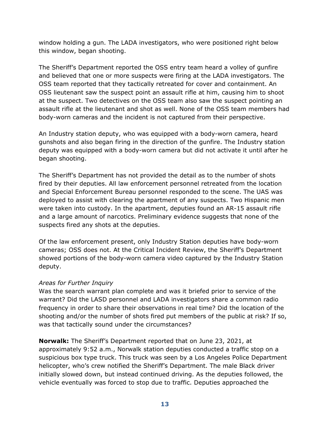window holding a gun. The LADA investigators, who were positioned right below this window, began shooting.

The Sheriff's Department reported the OSS entry team heard a volley of gunfire and believed that one or more suspects were firing at the LADA investigators. The OSS team reported that they tactically retreated for cover and containment. An OSS lieutenant saw the suspect point an assault rifle at him, causing him to shoot at the suspect. Two detectives on the OSS team also saw the suspect pointing an assault rifle at the lieutenant and shot as well. None of the OSS team members had body-worn cameras and the incident is not captured from their perspective.

An Industry station deputy, who was equipped with a body-worn camera, heard gunshots and also began firing in the direction of the gunfire. The Industry station deputy was equipped with a body-worn camera but did not activate it until after he began shooting.

The Sheriff's Department has not provided the detail as to the number of shots fired by their deputies. All law enforcement personnel retreated from the location and Special Enforcement Bureau personnel responded to the scene. The UAS was deployed to assist with clearing the apartment of any suspects. Two Hispanic men were taken into custody. In the apartment, deputies found an AR-15 assault rifle and a large amount of narcotics. Preliminary evidence suggests that none of the suspects fired any shots at the deputies.

Of the law enforcement present, only Industry Station deputies have body-worn cameras; OSS does not. At the Critical Incident Review, the Sheriff's Department showed portions of the body-worn camera video captured by the Industry Station deputy.

## *Areas for Further Inquiry*

Was the search warrant plan complete and was it briefed prior to service of the warrant? Did the LASD personnel and LADA investigators share a common radio frequency in order to share their observations in real time? Did the location of the shooting and/or the number of shots fired put members of the public at risk? If so, was that tactically sound under the circumstances?

**Norwalk:** The Sheriff's Department reported that on June 23, 2021, at approximately 9:52 a.m., Norwalk station deputies conducted a traffic stop on a suspicious box type truck. This truck was seen by a Los Angeles Police Department helicopter, who's crew notified the Sheriff's Department. The male Black driver initially slowed down, but instead continued driving. As the deputies followed, the vehicle eventually was forced to stop due to traffic. Deputies approached the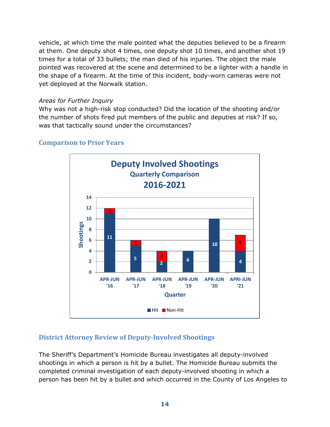vehicle, at which time the male pointed what the deputies believed to be a firearm at them. One deputy shot 4 times, one deputy shot 10 times, and another shot 19 times for a total of 33 bullets; the man died of his injuries. The object the male pointed was recovered at the scene and determined to be a lighter with a handle in the shape of a firearm. At the time of this incident, body-worn cameras were not yet deployed at the Norwalk station.

#### *Areas for Further Inquiry*

Why was not a high-risk stop conducted? Did the location of the shooting and/or the number of shots fired put members of the public and deputies at risk? If so, was that tactically sound under the circumstances?



## <span id="page-15-0"></span>**Comparison to Prior Years**

## <span id="page-15-1"></span>**District Attorney Review of Deputy-Involved Shootings**

The Sheriff's Department's Homicide Bureau investigates all deputy-involved shootings in which a person is hit by a bullet. The Homicide Bureau submits the completed criminal investigation of each deputy-involved shooting in which a person has been hit by a bullet and which occurred in the County of Los Angeles to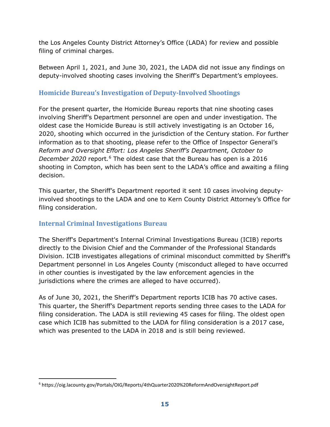the Los Angeles County District Attorney's Office (LADA) for review and possible filing of criminal charges.

Between April 1, 2021, and June 30, 2021, the LADA did not issue any findings on deputy-involved shooting cases involving the Sheriff's Department's employees.

## <span id="page-16-0"></span>**Homicide Bureau's Investigation of Deputy-Involved Shootings**

For the present quarter, the Homicide Bureau reports that nine shooting cases involving Sheriff's Department personnel are open and under investigation. The oldest case the Homicide Bureau is still actively investigating is an October 16, 2020, shooting which occurred in the jurisdiction of the Century station. For further information as to that shooting, please refer to the Office of Inspector General's *Reform and Oversight Effort: Los Angeles Sheriff's Department, October to December 2020* report*.*[6](#page-16-2) The oldest case that the Bureau has open is a 2016 shooting in Compton, which has been sent to the LADA's office and awaiting a filing decision.

This quarter, the Sheriff's Department reported it sent 10 cases involving deputyinvolved shootings to the LADA and one to Kern County District Attorney's Office for filing consideration.

## <span id="page-16-1"></span>**Internal Criminal Investigations Bureau**

The Sheriff's Department's Internal Criminal Investigations Bureau (ICIB) reports directly to the Division Chief and the Commander of the Professional Standards Division. ICIB investigates allegations of criminal misconduct committed by Sheriff's Department personnel in Los Angeles County (misconduct alleged to have occurred in other counties is investigated by the law enforcement agencies in the jurisdictions where the crimes are alleged to have occurred).

As of June 30, 2021, the Sheriff's Department reports ICIB has 70 active cases. This quarter, the Sheriff's Department reports sending three cases to the LADA for filing consideration. The LADA is still reviewing 45 cases for filing. The oldest open case which ICIB has submitted to the LADA for filing consideration is a 2017 case, which was presented to the LADA in 2018 and is still being reviewed.

<span id="page-16-2"></span><sup>6</sup> https://oig.lacounty.gov/Portals/OIG/Reports/4thQuarter2020%20ReformAndOversightReport.pdf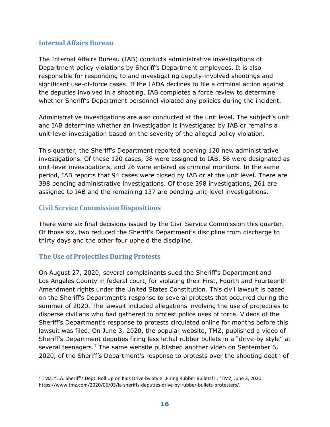#### <span id="page-17-0"></span>**Internal Affairs Bureau**

The Internal Affairs Bureau (IAB) conducts administrative investigations of Department policy violations by Sheriff's Department employees. It is also responsible for responding to and investigating deputy-involved shootings and significant use-of-force cases. If the LADA declines to file a criminal action against the deputies involved in a shooting, IAB completes a force review to determine whether Sheriff's Department personnel violated any policies during the incident.

Administrative investigations are also conducted at the unit level. The subject's unit and IAB determine whether an investigation is investigated by IAB or remains a unit-level investigation based on the severity of the alleged policy violation.

This quarter, the Sheriff's Department reported opening 120 new administrative investigations. Of these 120 cases, 38 were assigned to IAB, 56 were designated as unit-level investigations, and 26 were entered as criminal monitors. In the same period, IAB reports that 94 cases were closed by IAB or at the unit level. There are 398 pending administrative investigations. Of those 398 investigations, 261 are assigned to IAB and the remaining 137 are pending unit-level investigations.

## <span id="page-17-1"></span>**Civil Service Commission Dispositions**

There were six final decisions issued by the Civil Service Commission this quarter. Of those six, two reduced the Sheriff's Department's discipline from discharge to thirty days and the other four upheld the discipline.

## <span id="page-17-2"></span>**The Use of Projectiles During Protests**

On August 27, 2020, several complainants sued the Sheriff's Department and Los Angeles County in federal court, for violating their First, Fourth and Fourteenth Amendment rights under the United States Constitution. This civil lawsuit is based on the Sheriff's Department's response to several protests that occurred during the summer of 2020. The lawsuit included allegations involving the use of projectiles to disperse civilians who had gathered to protest police uses of force. Videos of the Sheriff's Department's response to protests circulated online for months before this lawsuit was filed. On June 3, 2020, the popular website, TMZ, published a video of Sheriff's Department deputies firing less lethal rubber bullets in a "drive-by style" at several teenagers.<sup>[7](#page-17-3)</sup> The same website published another video on September 6, 2020, of the Sheriff's Department's response to protests over the shooting death of

<span id="page-17-3"></span><sup>7</sup> TMZ, "L.A. Sheriff's Dept. Roll Up on Kids Drive-by Style…Firing Rubber Bullets!!!, "TMZ, June 3, 2020. https://www.tmz.com/2020/06/03/la-sheriffs-deputies-drive-by-rubber-bullets-protesters/.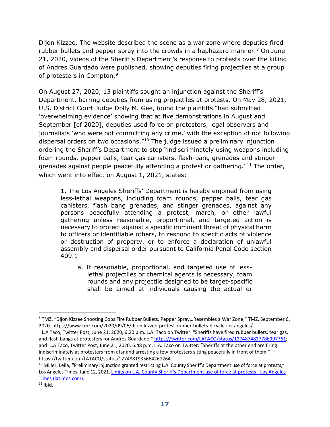Dijon Kizzee. The website described the scene as a war zone where deputies fired rubber bullets and pepper spray into the crowds in a haphazard manner.<sup>[8](#page-18-0)</sup> On June 21, 2020, videos of the Sheriff's Department's response to protests over the killing of Andres Guardado were published, showing deputies firing projectiles at a group of protesters in Compton.<sup>[9](#page-18-1)</sup>

On August 27, 2020, 13 plaintiffs sought an injunction against the Sheriff's Department, barring deputies from using projectiles at protests. On May 28, 2021, U.S. District Court Judge Dolly M. Gee, found the plaintiffs "had submitted 'overwhelming evidence' showing that at five demonstrations in August and September [of 2020], deputies used force on protesters, legal observers and journalists 'who were not committing any crime,' with the exception of not following dispersal orders on two occasions."[10](#page-18-2) The judge issued a preliminary injunction ordering the Sheriff's Department to stop "indiscriminately using weapons including foam rounds, pepper balls, tear gas canisters, flash-bang grenades and stinger grenades against people peacefully attending a protest or gathering."<sup>[11](#page-18-3)</sup> The order, which went into effect on August 1, 2021, states:

1. The Los Angeles Sheriffs' Department is hereby enjoined from using less-lethal weapons, including foam rounds, pepper balls, tear gas canisters, flash bang grenades, and stinger grenades, against any persons peacefully attending a protest, march, or other lawful gathering unless reasonable, proportional, and targeted action is necessary to protect against a specific imminent threat of physical harm to officers or identifiable others, to respond to specific acts of violence or destruction of property, or to enforce a declaration of unlawful assembly and dispersal order pursuant to California Penal Code section 409.1

a. If reasonable, proportional, and targeted use of lesslethal projectiles or chemical agents is necessary, foam rounds and any projectile designed to be target-specific shall be aimed at individuals causing the actual or

<span id="page-18-0"></span><sup>8</sup> TMZ, "Dijon Kizzee Shooting Cops Fire Rubber Bullets, Pepper Spray…Resembles a War Zone," TMZ, September 6, 2020. https://www.tmz.com/2020/09/06/dijon-kizzee-protest-rubber-bullets-bicycle-los-angeles/.

<span id="page-18-1"></span><sup>&</sup>lt;sup>9</sup> L.A Taco, Twitter Post, June 21, 2020, 6:20 p.m. L.A. Taco on Twitter: "Sheriffs have fired rubber bullets, tear gas, and flash bangs at protesters for Andrés Guardado,[" https://twitter.com/LATACO/status/1274874827786997761;](https://twitter.com/LATACO/status/1274874827786997761) and L.A Taco, Twitter Post, June 21, 2020, 6:48 p.m. L.A. Taco on Twitter: "Sheriffs at the other end are firing indiscriminately at protesters from afar and arresting a few protesters sitting peacefully in front of them," https://twitter.com/LATACO/status/1274881935664267264.

<span id="page-18-3"></span><span id="page-18-2"></span>**<sup>10</sup>** Miller, Leila, **"**Preliminary injunction granted restricting L.A. County Sheriff's Department use of force at protests," Los Angeles Times, June 12, 2021[. Limits on L.A. County Sheriff's Department use of force at protests -](https://www.latimes.com/california/story/2021-06-12/la-me-los-angeles-county-sheriff-department-preliminary-injunction-indiscriminate-force) Los Angeles [Times \(latimes.com\).](https://www.latimes.com/california/story/2021-06-12/la-me-los-angeles-county-sheriff-department-preliminary-injunction-indiscriminate-force)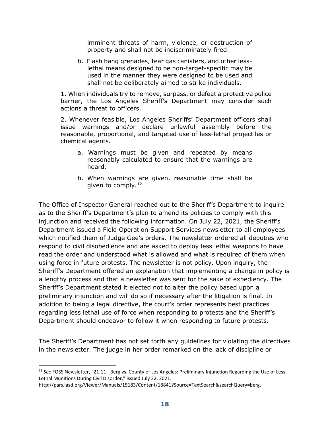imminent threats of harm, violence, or destruction of property and shall not be indiscriminately fired.

b. Flash bang grenades, tear gas canisters, and other lesslethal means designed to be non-target-specific may be used in the manner they were designed to be used and shall not be deliberately aimed to strike individuals.

1. When individuals try to remove, surpass, or defeat a protective police barrier, the Los Angeles Sheriff's Department may consider such actions a threat to officers.

2. Whenever feasible, Los Angeles Sheriffs' Department officers shall issue warnings and/or declare unlawful assembly before the reasonable, proportional, and targeted use of less-lethal projectiles or chemical agents.

- a. Warnings must be given and repeated by means reasonably calculated to ensure that the warnings are heard.
- b. When warnings are given, reasonable time shall be given to comply. $12$

The Office of Inspector General reached out to the Sheriff's Department to inquire as to the Sheriff's Department's plan to amend its policies to comply with this injunction and received the following information. On July 22, 2021, the Sheriff's Department issued a Field Operation Support Services newsletter to all employees which notified them of Judge Gee's orders. The newsletter ordered all deputies who respond to civil disobedience and are asked to deploy less lethal weapons to have read the order and understood what is allowed and what is required of them when using force in future protests. The newsletter is not policy. Upon inquiry, the Sheriff's Department offered an explanation that implementing a change in policy is a lengthy process and that a newsletter was sent for the sake of expediency. The Sheriff's Department stated it elected not to alter the policy based upon a preliminary injunction and will do so if necessary after the litigation is final. In addition to being a legal directive, the court's order represents best practices regarding less lethal use of force when responding to protests and the Sheriff's Department should endeavor to follow it when responding to future protests.

The Sheriff's Department has not set forth any guidelines for violating the directives in the newsletter. The judge in her order remarked on the lack of discipline or

<span id="page-19-0"></span><sup>12</sup> *See* FOSS Newsletter, "21-11 - Berg vs. County of Los Angeles: Preliminary Injunction Regarding the Use of Less-Lethal Munitions During Civil Disorder," issued July 22, 2021.

http://pars.lasd.org/Viewer/Manuals/15183/Content/18841?Source=TextSearch&searchQuery=berg.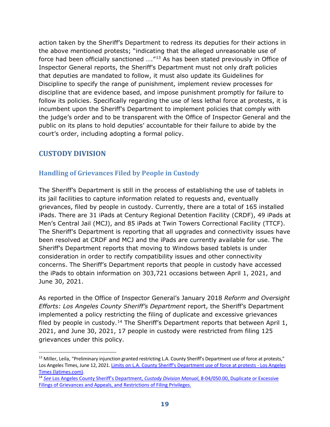action taken by the Sheriff's Department to redress its deputies for their actions in the above mentioned protests; "indicating that the alleged unreasonable use of force had been officially sanctioned ...."<sup>[13](#page-20-2)</sup> As has been stated previously in Office of Inspector General reports, the Sheriff's Department must not only draft policies that deputies are mandated to follow, it must also update its Guidelines for Discipline to specify the range of punishment, implement review processes for discipline that are evidence based, and impose punishment promptly for failure to follow its policies. Specifically regarding the use of less lethal force at protests, it is incumbent upon the Sheriff's Department to implement policies that comply with the judge's order and to be transparent with the Office of Inspector General and the public on its plans to hold deputies' accountable for their failure to abide by the court's order, including adopting a formal policy.

## <span id="page-20-0"></span>**CUSTODY DIVISION**

## <span id="page-20-1"></span>**Handling of Grievances Filed by People in Custody**

The Sheriff's Department is still in the process of establishing the use of tablets in its jail facilities to capture information related to requests and, eventually grievances, filed by people in custody. Currently, there are a total of 165 installed iPads. There are 31 iPads at Century Regional Detention Facility (CRDF), 49 iPads at Men's Central Jail (MCJ), and 85 iPads at Twin Towers Correctional Facility (TTCF). The Sheriff's Department is reporting that all upgrades and connectivity issues have been resolved at CRDF and MCJ and the iPads are currently available for use. The Sheriff's Department reports that moving to Windows based tablets is under consideration in order to rectify compatibility issues and other connectivity concerns. The Sheriff's Department reports that people in custody have accessed the iPads to obtain information on 303,721 occasions between April 1, 2021, and June 30, 2021.

As reported in the Office of Inspector General's January 2018 *Reform and Oversight Efforts: Los Angeles County Sheriff's Department* report, the Sheriff's Department implemented a policy restricting the filing of duplicate and excessive grievances filed by people in custody.<sup>[14](#page-20-3)</sup> The Sheriff's Department reports that between April 1, 2021, and June 30, 2021, 17 people in custody were restricted from filing 125 grievances under this policy.

<span id="page-20-2"></span><sup>&</sup>lt;sup>13</sup> Miller, Leila, "Preliminary injunction granted restricting L.A. County Sheriff's Department use of force at protests," Los Angeles Times, June 12, 2021[. Limits on L.A. County Sheriff's Department use of force at protests -](https://www.latimes.com/california/story/2021-06-12/la-me-los-angeles-county-sheriff-department-preliminary-injunction-indiscriminate-force) Los Angeles [Times \(latimes.com\).](https://www.latimes.com/california/story/2021-06-12/la-me-los-angeles-county-sheriff-department-preliminary-injunction-indiscriminate-force)

<span id="page-20-3"></span><sup>14</sup> *See* [Los Angeles County Sheriff's Department,](http://pars.lasd.org/Viewer/Manuals/14249/Content/13670) *Custody Division Manual*, 8-04/050.00, Duplicate or Excessive [Filings of Grievances and Appeals, and Restrictions of Filing Privileges.](http://pars.lasd.org/Viewer/Manuals/14249/Content/13670)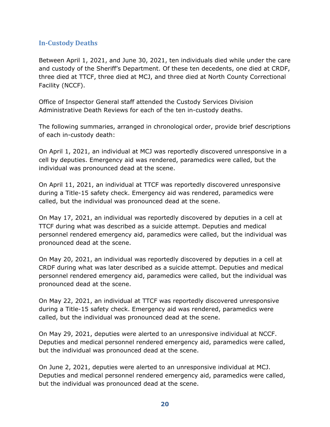## <span id="page-21-0"></span>**In-Custody Deaths**

Between April 1, 2021, and June 30, 2021, ten individuals died while under the care and custody of the Sheriff's Department. Of these ten decedents, one died at CRDF, three died at TTCF, three died at MCJ, and three died at North County Correctional Facility (NCCF).

Office of Inspector General staff attended the Custody Services Division Administrative Death Reviews for each of the ten in-custody deaths.

The following summaries, arranged in chronological order, provide brief descriptions of each in-custody death:

On April 1, 2021, an individual at MCJ was reportedly discovered unresponsive in a cell by deputies. Emergency aid was rendered, paramedics were called, but the individual was pronounced dead at the scene.

On April 11, 2021, an individual at TTCF was reportedly discovered unresponsive during a Title-15 safety check. Emergency aid was rendered, paramedics were called, but the individual was pronounced dead at the scene.

On May 17, 2021, an individual was reportedly discovered by deputies in a cell at TTCF during what was described as a suicide attempt. Deputies and medical personnel rendered emergency aid, paramedics were called, but the individual was pronounced dead at the scene.

On May 20, 2021, an individual was reportedly discovered by deputies in a cell at CRDF during what was later described as a suicide attempt. Deputies and medical personnel rendered emergency aid, paramedics were called, but the individual was pronounced dead at the scene.

On May 22, 2021, an individual at TTCF was reportedly discovered unresponsive during a Title-15 safety check. Emergency aid was rendered, paramedics were called, but the individual was pronounced dead at the scene.

On May 29, 2021, deputies were alerted to an unresponsive individual at NCCF. Deputies and medical personnel rendered emergency aid, paramedics were called, but the individual was pronounced dead at the scene.

On June 2, 2021, deputies were alerted to an unresponsive individual at MCJ. Deputies and medical personnel rendered emergency aid, paramedics were called, but the individual was pronounced dead at the scene.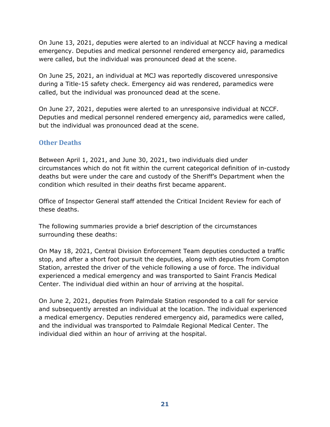On June 13, 2021, deputies were alerted to an individual at NCCF having a medical emergency. Deputies and medical personnel rendered emergency aid, paramedics were called, but the individual was pronounced dead at the scene.

On June 25, 2021, an individual at MCJ was reportedly discovered unresponsive during a Title-15 safety check. Emergency aid was rendered, paramedics were called, but the individual was pronounced dead at the scene.

On June 27, 2021, deputies were alerted to an unresponsive individual at NCCF. Deputies and medical personnel rendered emergency aid, paramedics were called, but the individual was pronounced dead at the scene.

## <span id="page-22-0"></span>**Other Deaths**

Between April 1, 2021, and June 30, 2021, two individuals died under circumstances which do not fit within the current categorical definition of in-custody deaths but were under the care and custody of the Sheriff's Department when the condition which resulted in their deaths first became apparent.

Office of Inspector General staff attended the Critical Incident Review for each of these deaths.

The following summaries provide a brief description of the circumstances surrounding these deaths:

On May 18, 2021, Central Division Enforcement Team deputies conducted a traffic stop, and after a short foot pursuit the deputies, along with deputies from Compton Station, arrested the driver of the vehicle following a use of force. The individual experienced a medical emergency and was transported to Saint Francis Medical Center. The individual died within an hour of arriving at the hospital.

On June 2, 2021, deputies from Palmdale Station responded to a call for service and subsequently arrested an individual at the location. The individual experienced a medical emergency. Deputies rendered emergency aid, paramedics were called, and the individual was transported to Palmdale Regional Medical Center. The individual died within an hour of arriving at the hospital.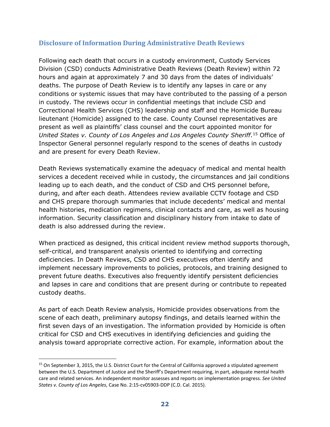## <span id="page-23-0"></span>**Disclosure of Information During Administrative Death Reviews**

Following each death that occurs in a custody environment, Custody Services Division (CSD) conducts Administrative Death Reviews (Death Review) within 72 hours and again at approximately 7 and 30 days from the dates of individuals' deaths. The purpose of Death Review is to identify any lapses in care or any conditions or systemic issues that may have contributed to the passing of a person in custody. The reviews occur in confidential meetings that include CSD and Correctional Health Services (CHS) leadership and staff and the Homicide Bureau lieutenant (Homicide) assigned to the case. County Counsel representatives are present as well as plaintiffs' class counsel and the court appointed monitor for *United States v. County of Los Angeles and Los Angeles County Sheriff*.[15](#page-23-1) Office of Inspector General personnel regularly respond to the scenes of deaths in custody and are present for every Death Review.

Death Reviews systematically examine the adequacy of medical and mental health services a decedent received while in custody, the circumstances and jail conditions leading up to each death, and the conduct of CSD and CHS personnel before, during, and after each death. Attendees review available CCTV footage and CSD and CHS prepare thorough summaries that include decedents' medical and mental health histories, medication regimens, clinical contacts and care, as well as housing information. Security classification and disciplinary history from intake to date of death is also addressed during the review.

When practiced as designed, this critical incident review method supports thorough, self-critical, and transparent analysis oriented to identifying and correcting deficiencies. In Death Reviews, CSD and CHS executives often identify and implement necessary improvements to policies, protocols, and training designed to prevent future deaths. Executives also frequently identify persistent deficiencies and lapses in care and conditions that are present during or contribute to repeated custody deaths.

As part of each Death Review analysis, Homicide provides observations from the scene of each death, preliminary autopsy findings, and details learned within the first seven days of an investigation. The information provided by Homicide is often critical for CSD and CHS executives in identifying deficiencies and guiding the analysis toward appropriate corrective action. For example, information about the

<span id="page-23-1"></span><sup>&</sup>lt;sup>15</sup> On September 3, 2015, the U.S. District Court for the Central of California approved a stipulated agreement between the U.S. Department of Justice and the Sheriff's Department requiring, in part, adequate mental health care and related services. An independent monitor assesses and reports on implementation progress. *See United States v. County of Los Angeles*, Case No. 2:15-cv05903-DDP (C.D. Cal. 2015).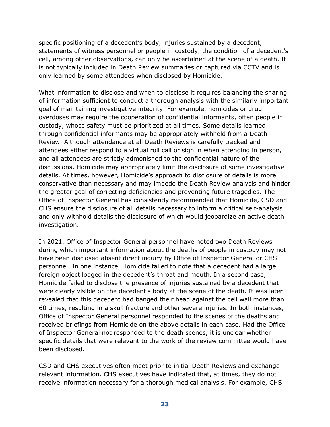specific positioning of a decedent's body, injuries sustained by a decedent, statements of witness personnel or people in custody, the condition of a decedent's cell, among other observations, can only be ascertained at the scene of a death. It is not typically included in Death Review summaries or captured via CCTV and is only learned by some attendees when disclosed by Homicide.

What information to disclose and when to disclose it requires balancing the sharing of information sufficient to conduct a thorough analysis with the similarly important goal of maintaining investigative integrity. For example, homicides or drug overdoses may require the cooperation of confidential informants, often people in custody, whose safety must be prioritized at all times. Some details learned through confidential informants may be appropriately withheld from a Death Review. Although attendance at all Death Reviews is carefully tracked and attendees either respond to a virtual roll call or sign in when attending in person, and all attendees are strictly admonished to the confidential nature of the discussions, Homicide may appropriately limit the disclosure of some investigative details. At times, however, Homicide's approach to disclosure of details is more conservative than necessary and may impede the Death Review analysis and hinder the greater goal of correcting deficiencies and preventing future tragedies. The Office of Inspector General has consistently recommended that Homicide, CSD and CHS ensure the disclosure of all details necessary to inform a critical self-analysis and only withhold details the disclosure of which would jeopardize an active death investigation.

In 2021, Office of Inspector General personnel have noted two Death Reviews during which important information about the deaths of people in custody may not have been disclosed absent direct inquiry by Office of Inspector General or CHS personnel. In one instance, Homicide failed to note that a decedent had a large foreign object lodged in the decedent's throat and mouth. In a second case, Homicide failed to disclose the presence of injuries sustained by a decedent that were clearly visible on the decedent's body at the scene of the death. It was later revealed that this decedent had banged their head against the cell wall more than 60 times, resulting in a skull fracture and other severe injuries. In both instances, Office of Inspector General personnel responded to the scenes of the deaths and received briefings from Homicide on the above details in each case. Had the Office of Inspector General not responded to the death scenes, it is unclear whether specific details that were relevant to the work of the review committee would have been disclosed.

CSD and CHS executives often meet prior to initial Death Reviews and exchange relevant information. CHS executives have indicated that, at times, they do not receive information necessary for a thorough medical analysis. For example, CHS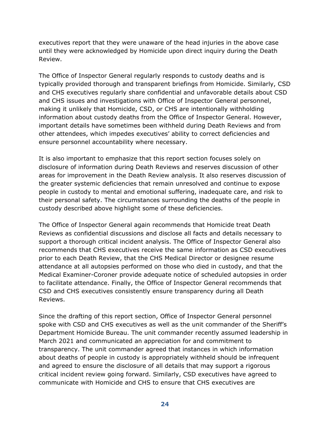executives report that they were unaware of the head injuries in the above case until they were acknowledged by Homicide upon direct inquiry during the Death Review.

The Office of Inspector General regularly responds to custody deaths and is typically provided thorough and transparent briefings from Homicide. Similarly, CSD and CHS executives regularly share confidential and unfavorable details about CSD and CHS issues and investigations with Office of Inspector General personnel, making it unlikely that Homicide, CSD, or CHS are intentionally withholding information about custody deaths from the Office of Inspector General. However, important details have sometimes been withheld during Death Reviews and from other attendees, which impedes executives' ability to correct deficiencies and ensure personnel accountability where necessary.

It is also important to emphasize that this report section focuses solely on disclosure of information during Death Reviews and reserves discussion of other areas for improvement in the Death Review analysis. It also reserves discussion of the greater systemic deficiencies that remain unresolved and continue to expose people in custody to mental and emotional suffering, inadequate care, and risk to their personal safety. The circumstances surrounding the deaths of the people in custody described above highlight some of these deficiencies.

The Office of Inspector General again recommends that Homicide treat Death Reviews as confidential discussions and disclose all facts and details necessary to support a thorough critical incident analysis. The Office of Inspector General also recommends that CHS executives receive the same information as CSD executives prior to each Death Review, that the CHS Medical Director or designee resume attendance at all autopsies performed on those who died in custody, and that the Medical Examiner-Coroner provide adequate notice of scheduled autopsies in order to facilitate attendance. Finally, the Office of Inspector General recommends that CSD and CHS executives consistently ensure transparency during all Death Reviews.

Since the drafting of this report section, Office of Inspector General personnel spoke with CSD and CHS executives as well as the unit commander of the Sheriff's Department Homicide Bureau. The unit commander recently assumed leadership in March 2021 and communicated an appreciation for and commitment to transparency. The unit commander agreed that instances in which information about deaths of people in custody is appropriately withheld should be infrequent and agreed to ensure the disclosure of all details that may support a rigorous critical incident review going forward. Similarly, CSD executives have agreed to communicate with Homicide and CHS to ensure that CHS executives are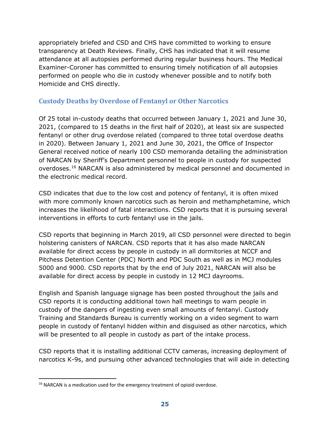appropriately briefed and CSD and CHS have committed to working to ensure transparency at Death Reviews. Finally, CHS has indicated that it will resume attendance at all autopsies performed during regular business hours. The Medical Examiner-Coroner has committed to ensuring timely notification of all autopsies performed on people who die in custody whenever possible and to notify both Homicide and CHS directly.

## <span id="page-26-0"></span>**Custody Deaths by Overdose of Fentanyl or Other Narcotics**

Of 25 total in-custody deaths that occurred between January 1, 2021 and June 30, 2021, (compared to 15 deaths in the first half of 2020), at least six are suspected fentanyl or other drug overdose related (compared to three total overdose deaths in 2020). Between January 1, 2021 and June 30, 2021, the Office of Inspector General received notice of nearly 100 CSD memoranda detailing the administration of NARCAN by Sheriff's Department personnel to people in custody for suspected overdoses.[16](#page-26-1) NARCAN is also administered by medical personnel and documented in the electronic medical record.

CSD indicates that due to the low cost and potency of fentanyl, it is often mixed with more commonly known narcotics such as heroin and methamphetamine, which increases the likelihood of fatal interactions. CSD reports that it is pursuing several interventions in efforts to curb fentanyl use in the jails.

CSD reports that beginning in March 2019, all CSD personnel were directed to begin holstering canisters of NARCAN. CSD reports that it has also made NARCAN available for direct access by people in custody in all dormitories at NCCF and Pitchess Detention Center (PDC) North and PDC South as well as in MCJ modules 5000 and 9000. CSD reports that by the end of July 2021, NARCAN will also be available for direct access by people in custody in 12 MCJ dayrooms.

English and Spanish language signage has been posted throughout the jails and CSD reports it is conducting additional town hall meetings to warn people in custody of the dangers of ingesting even small amounts of fentanyl. Custody Training and Standards Bureau is currently working on a video segment to warn people in custody of fentanyl hidden within and disguised as other narcotics, which will be presented to all people in custody as part of the intake process.

CSD reports that it is installing additional CCTV cameras, increasing deployment of narcotics K-9s, and pursuing other advanced technologies that will aide in detecting

<span id="page-26-1"></span><sup>&</sup>lt;sup>16</sup> NARCAN is a medication used for the emergency treatment of opioid overdose.